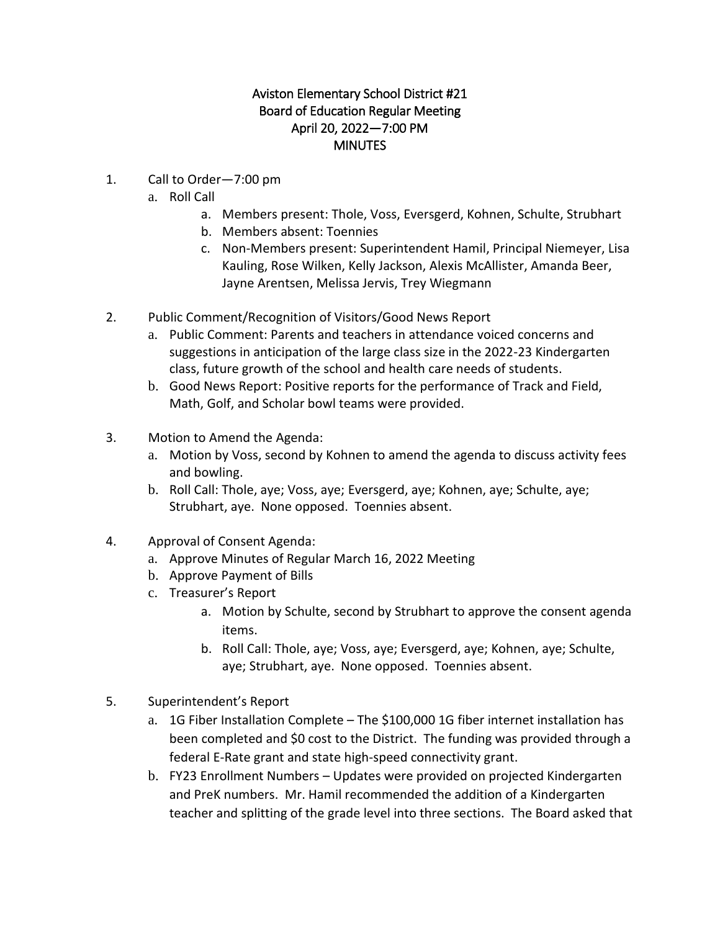## Aviston Elementary School District #21 Board of Education Regular Meeting April 20, 2022—7:00 PM MINUTES

- 1. Call to Order—7:00 pm
	- a. Roll Call
		- a. Members present: Thole, Voss, Eversgerd, Kohnen, Schulte, Strubhart
		- b. Members absent: Toennies
		- c. Non-Members present: Superintendent Hamil, Principal Niemeyer, Lisa Kauling, Rose Wilken, Kelly Jackson, Alexis McAllister, Amanda Beer, Jayne Arentsen, Melissa Jervis, Trey Wiegmann
- 2. Public Comment/Recognition of Visitors/Good News Report
	- a. Public Comment: Parents and teachers in attendance voiced concerns and suggestions in anticipation of the large class size in the 2022-23 Kindergarten class, future growth of the school and health care needs of students.
	- b. Good News Report: Positive reports for the performance of Track and Field, Math, Golf, and Scholar bowl teams were provided.
- 3. Motion to Amend the Agenda:
	- a. Motion by Voss, second by Kohnen to amend the agenda to discuss activity fees and bowling.
	- b. Roll Call: Thole, aye; Voss, aye; Eversgerd, aye; Kohnen, aye; Schulte, aye; Strubhart, aye. None opposed. Toennies absent.
- 4. Approval of Consent Agenda:
	- a. Approve Minutes of Regular March 16, 2022 Meeting
	- b. Approve Payment of Bills
	- c. Treasurer's Report
		- a. Motion by Schulte, second by Strubhart to approve the consent agenda items.
		- b. Roll Call: Thole, aye; Voss, aye; Eversgerd, aye; Kohnen, aye; Schulte, aye; Strubhart, aye. None opposed. Toennies absent.
- 5. Superintendent's Report
	- a. 1G Fiber Installation Complete The \$100,000 1G fiber internet installation has been completed and \$0 cost to the District. The funding was provided through a federal E-Rate grant and state high-speed connectivity grant.
	- b. FY23 Enrollment Numbers Updates were provided on projected Kindergarten and PreK numbers. Mr. Hamil recommended the addition of a Kindergarten teacher and splitting of the grade level into three sections. The Board asked that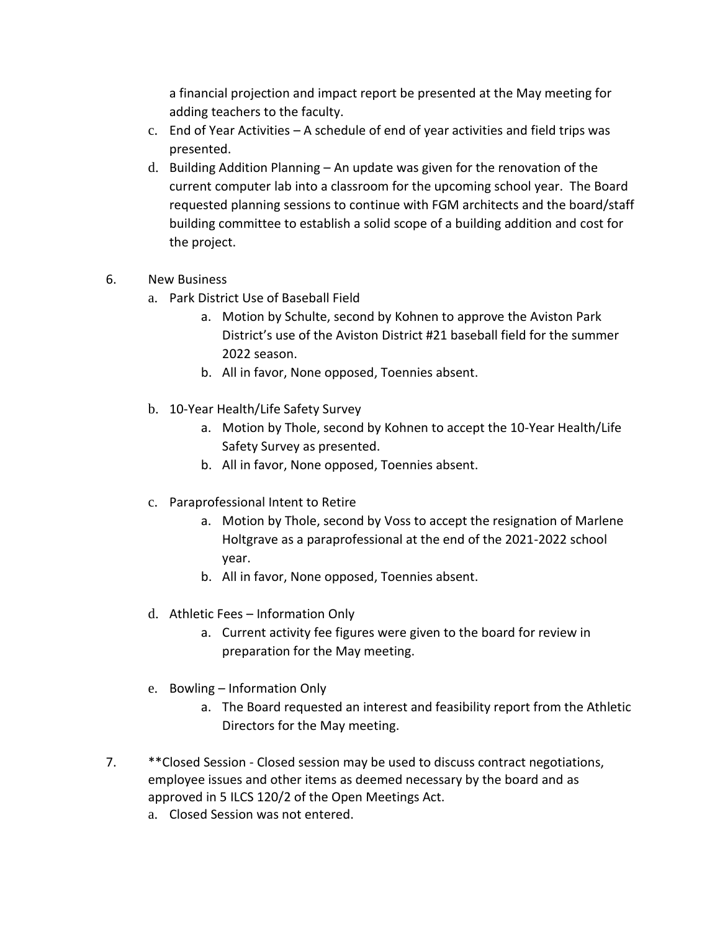a financial projection and impact report be presented at the May meeting for adding teachers to the faculty.

- c. End of Year Activities A schedule of end of year activities and field trips was presented.
- d. Building Addition Planning An update was given for the renovation of the current computer lab into a classroom for the upcoming school year. The Board requested planning sessions to continue with FGM architects and the board/staff building committee to establish a solid scope of a building addition and cost for the project.
- 6. New Business
	- a. Park District Use of Baseball Field
		- a. Motion by Schulte, second by Kohnen to approve the Aviston Park District's use of the Aviston District #21 baseball field for the summer 2022 season.
		- b. All in favor, None opposed, Toennies absent.
	- b. 10-Year Health/Life Safety Survey
		- a. Motion by Thole, second by Kohnen to accept the 10-Year Health/Life Safety Survey as presented.
		- b. All in favor, None opposed, Toennies absent.
	- c. Paraprofessional Intent to Retire
		- a. Motion by Thole, second by Voss to accept the resignation of Marlene Holtgrave as a paraprofessional at the end of the 2021-2022 school year.
		- b. All in favor, None opposed, Toennies absent.
	- d. Athletic Fees Information Only
		- a. Current activity fee figures were given to the board for review in preparation for the May meeting.
	- e. Bowling Information Only
		- a. The Board requested an interest and feasibility report from the Athletic Directors for the May meeting.
- 7. \*\*Closed Session Closed session may be used to discuss contract negotiations, employee issues and other items as deemed necessary by the board and as approved in 5 ILCS 120/2 of the Open Meetings Act.
	- a. Closed Session was not entered.